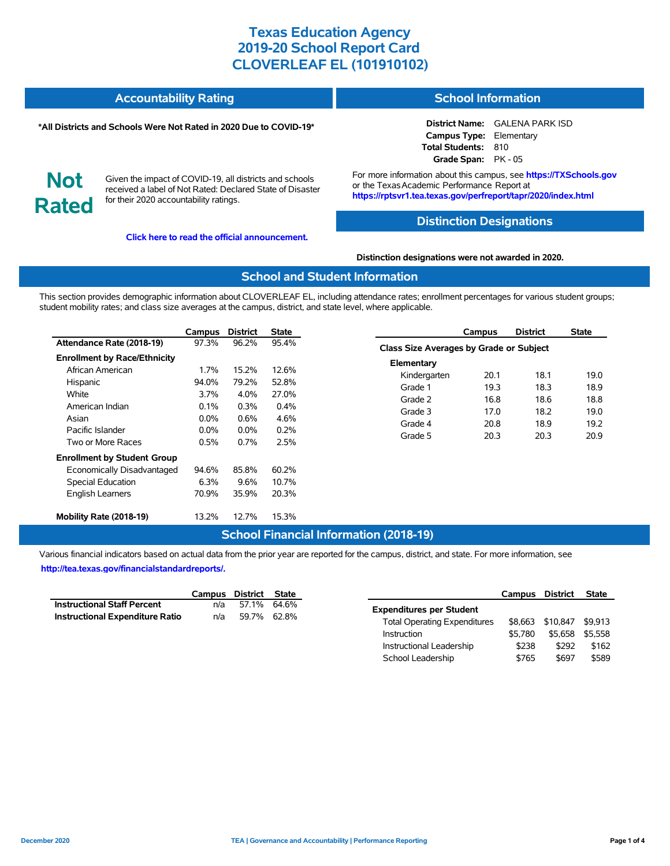| <b>Accountability Rating</b> | <b>School Information</b> |
|------------------------------|---------------------------|
|                              |                           |

#### **\*All Districts and Schools Were Not Rated in 2020 Due to COVID-19\***

#### **District Name:** GALENA PARK ISD **Campus Type:** Elementary **Total Students:** 810

**Not Rated**

Given the impact of COVID-19, all districts and schools received a label of Not Rated: Declared State of Disaster for their 2020 accountability ratings.

**[Click here to read the official announcement.](https://tea.texas.gov/about-tea/news-and-multimedia/correspondence/taa-letters/every-student-succeeds-act-essa-waiver-approval-2020-state-academic-accountability)**

For more information about this campus, see **https://TXSchools.gov** or the Texas Academic Performance Report at **https://rptsvr1.tea.texas.gov/perfreport/tapr/2020/index.html**

**Grade Span:** PK - 05

### **Distinction Designations**

**Distinction designations were not awarded in 2020.**

### **School and Student Information**

This section provides demographic information about CLOVERLEAF EL, including attendance rates; enrollment percentages for various student groups; student mobility rates; and class size averages at the campus, district, and state level, where applicable.

|                                     | Campus  | <b>District</b> | <b>State</b> |
|-------------------------------------|---------|-----------------|--------------|
| Attendance Rate (2018-19)           | 97.3%   | 96.2%           | 95.4%        |
| <b>Enrollment by Race/Ethnicity</b> |         |                 |              |
| African American                    | 1.7%    | 15.2%           | 12.6%        |
| Hispanic                            | 94.0%   | 79.2%           | 52.8%        |
| White                               | 3.7%    | $4.0\%$         | 27.0%        |
| American Indian                     | 0.1%    | $0.3\%$         | 0.4%         |
| Asian                               | $0.0\%$ | 0.6%            | 4.6%         |
| Pacific Islander                    | $0.0\%$ | $0.0\%$         | 0.2%         |
| Two or More Races                   | 0.5%    | 0.7%            | 2.5%         |
| <b>Enrollment by Student Group</b>  |         |                 |              |
| Economically Disadvantaged          | 94.6%   | 85.8%           | 60.2%        |
| <b>Special Education</b>            | 6.3%    | 9.6%            | 10.7%        |
| <b>English Learners</b>             | 70.9%   | 35.9%           | 20.3%        |
| Mobility Rate (2018-19)             | 13.2%   | 12.7%           | 15.3%        |

### **Campus District State Class Size Averages by Grade or Subject Elementary** Kindergarten 20.1 18.1 19.0 Grade 1 19.3 18.3 18.9 Grade 2 16.8 18.6 18.8 Grade 3 17.0 18.2 19.0 Grade 4 20.8 18.9 19.2 Grade 5 20.3 20.3 20.9

## **School Financial Information (2018-19)**

Various financial indicators based on actual data from the prior year are reported for the campus, district, and state. For more information, see **[http://tea.texas.gov/financialstandardreports/.](http://tea.texas.gov/financialstandardreports/)**

|                                        | Campus District State |             |  |
|----------------------------------------|-----------------------|-------------|--|
| <b>Instructional Staff Percent</b>     | n/a                   | 57.1% 64.6% |  |
| <b>Instructional Expenditure Ratio</b> | n/a                   | 59.7% 62.8% |  |

|                                     | Campus District |          | <b>State</b> |
|-------------------------------------|-----------------|----------|--------------|
| <b>Expenditures per Student</b>     |                 |          |              |
| <b>Total Operating Expenditures</b> | \$8.663         | \$10,847 | \$9.913      |
| Instruction                         | \$5.780         | \$5.658  | \$5.558      |
| Instructional Leadership            | \$238           | \$292    | \$162        |
| School Leadership                   | \$765           | \$697    | \$589        |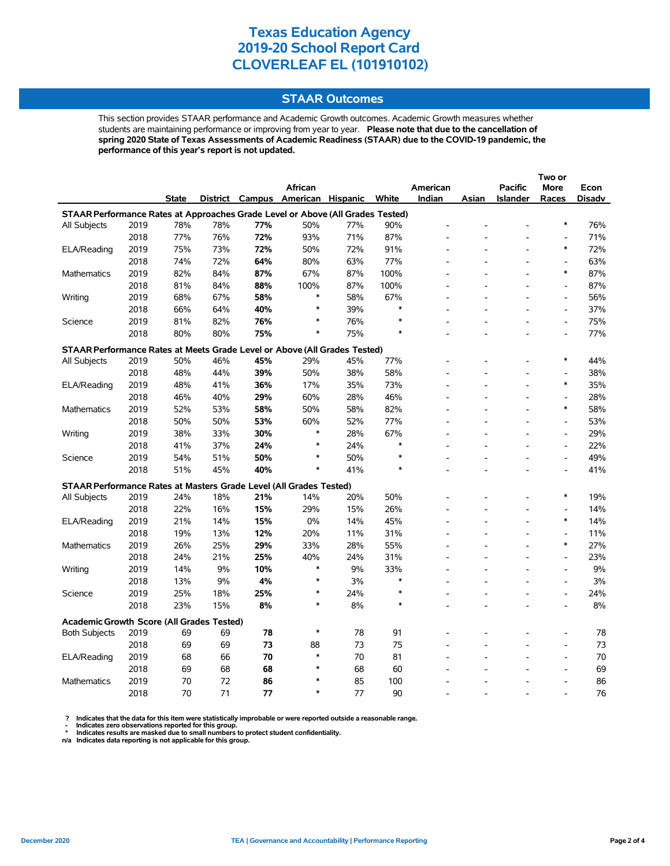### **STAAR Outcomes**

This section provides STAAR performance and Academic Growth outcomes. Academic Growth measures whether students are maintaining performance or improving from year to year. **Please note that due to the cancellation of spring 2020 State of Texas Assessments of Academic Readiness (STAAR) due to the COVID-19 pandemic, the performance of this year's report is not updated.**

|                                                                                |      |              |     |     | <b>African</b>                    |     |        | American       |       | <b>Pacific</b>  | <b>More</b>                  | Econ   |
|--------------------------------------------------------------------------------|------|--------------|-----|-----|-----------------------------------|-----|--------|----------------|-------|-----------------|------------------------------|--------|
|                                                                                |      | <b>State</b> |     |     | District Campus American Hispanic |     | White  | Indian         | Asian | <b>Islander</b> | Races                        | Disadv |
| STAAR Performance Rates at Approaches Grade Level or Above (All Grades Tested) |      |              |     |     |                                   |     |        |                |       |                 |                              |        |
| All Subjects                                                                   | 2019 | 78%          | 78% | 77% | 50%                               | 77% | 90%    |                |       |                 | $\ast$                       | 76%    |
|                                                                                | 2018 | 77%          | 76% | 72% | 93%                               | 71% | 87%    |                |       |                 | $\qquad \qquad \blacksquare$ | 71%    |
| ELA/Reading                                                                    | 2019 | 75%          | 73% | 72% | 50%                               | 72% | 91%    |                |       |                 | $\ast$                       | 72%    |
|                                                                                | 2018 | 74%          | 72% | 64% | 80%                               | 63% | 77%    |                |       |                 | $\overline{a}$               | 63%    |
| <b>Mathematics</b>                                                             | 2019 | 82%          | 84% | 87% | 67%                               | 87% | 100%   |                |       |                 | $\ast$                       | 87%    |
|                                                                                | 2018 | 81%          | 84% | 88% | 100%                              | 87% | 100%   |                |       |                 | $\overline{a}$               | 87%    |
| Writing                                                                        | 2019 | 68%          | 67% | 58% | $\ast$                            | 58% | 67%    |                |       |                 | $\overline{a}$               | 56%    |
|                                                                                | 2018 | 66%          | 64% | 40% | $\ast$                            | 39% | $\ast$ |                |       |                 | $\overline{\phantom{a}}$     | 37%    |
| Science                                                                        | 2019 | 81%          | 82% | 76% | $\ast$                            | 76% |        |                |       |                 | $\overline{\phantom{a}}$     | 75%    |
|                                                                                | 2018 | 80%          | 80% | 75% | $\ast$                            | 75% | $\ast$ |                |       |                 | L,                           | 77%    |
| STAAR Performance Rates at Meets Grade Level or Above (All Grades Tested)      |      |              |     |     |                                   |     |        |                |       |                 |                              |        |
| All Subjects                                                                   | 2019 | 50%          | 46% | 45% | 29%                               | 45% | 77%    |                |       |                 | $\ast$                       | 44%    |
|                                                                                | 2018 | 48%          | 44% | 39% | 50%                               | 38% | 58%    |                |       |                 | $\overline{a}$               | 38%    |
| ELA/Reading                                                                    | 2019 | 48%          | 41% | 36% | 17%                               | 35% | 73%    |                |       |                 | $\ast$                       | 35%    |
|                                                                                | 2018 | 46%          | 40% | 29% | 60%                               | 28% | 46%    |                |       |                 | $\overline{a}$               | 28%    |
| Mathematics                                                                    | 2019 | 52%          | 53% | 58% | 50%                               | 58% | 82%    |                |       |                 | $\ast$                       | 58%    |
|                                                                                | 2018 | 50%          | 50% | 53% | 60%                               | 52% | 77%    |                |       |                 | $\blacksquare$               | 53%    |
| Writing                                                                        | 2019 | 38%          | 33% | 30% | $\ast$                            | 28% | 67%    |                |       |                 | $\overline{a}$               | 29%    |
|                                                                                | 2018 | 41%          | 37% | 24% | $\ast$                            | 24% | $\ast$ |                |       |                 | $\overline{a}$               | 22%    |
| Science                                                                        | 2019 | 54%          | 51% | 50% | $\ast$                            | 50% | $\ast$ |                |       |                 | $\overline{a}$               | 49%    |
|                                                                                | 2018 | 51%          | 45% | 40% | $\ast$                            | 41% | $\ast$ |                |       |                 | $\overline{a}$               | 41%    |
| STAAR Performance Rates at Masters Grade Level (All Grades Tested)             |      |              |     |     |                                   |     |        |                |       |                 |                              |        |
|                                                                                | 2019 | 24%          | 18% | 21% | 14%                               | 20% | 50%    |                |       |                 | $\ast$                       | 19%    |
| All Subjects                                                                   | 2018 | 22%          | 16% | 15% | 29%                               | 15% | 26%    |                |       |                 | $\overline{a}$               | 14%    |
| ELA/Reading                                                                    | 2019 | 21%          | 14% | 15% | 0%                                | 14% | 45%    |                |       |                 | $\ast$                       | 14%    |
|                                                                                | 2018 | 19%          | 13% | 12% | 20%                               | 11% | 31%    |                |       |                 | $\qquad \qquad \blacksquare$ | 11%    |
| <b>Mathematics</b>                                                             | 2019 | 26%          | 25% | 29% | 33%                               | 28% | 55%    |                |       |                 | $\ast$                       | 27%    |
|                                                                                | 2018 | 24%          | 21% | 25% | 40%                               | 24% | 31%    |                |       |                 | $\overline{a}$               | 23%    |
| Writing                                                                        | 2019 | 14%          | 9%  | 10% | *                                 | 9%  | 33%    | $\overline{a}$ |       |                 | $\overline{a}$               | 9%     |
|                                                                                | 2018 | 13%          | 9%  | 4%  | *                                 | 3%  | $\ast$ |                |       |                 | $\overline{a}$               | 3%     |
| Science                                                                        | 2019 | 25%          | 18% | 25% | $\ast$                            | 24% | $\ast$ |                |       |                 | $\overline{a}$               | 24%    |
|                                                                                | 2018 | 23%          | 15% | 8%  | $\ast$                            | 8%  | $\ast$ |                |       |                 | $\overline{a}$               | 8%     |
|                                                                                |      |              |     |     |                                   |     |        |                |       |                 |                              |        |
| <b>Academic Growth Score (All Grades Tested)</b>                               |      |              |     |     |                                   |     |        |                |       |                 |                              |        |
| <b>Both Subjects</b>                                                           | 2019 | 69           | 69  | 78  | $\ast$                            | 78  | 91     |                |       |                 | $\overline{a}$               | 78     |
|                                                                                | 2018 | 69           | 69  | 73  | 88                                | 73  | 75     |                |       |                 | $\overline{a}$               | 73     |
| ELA/Reading                                                                    | 2019 | 68           | 66  | 70  | $\ast$                            | 70  | 81     |                |       |                 | L,                           | 70     |
|                                                                                | 2018 | 69           | 68  | 68  | $\ast$                            | 68  | 60     |                |       |                 |                              | 69     |
| Mathematics                                                                    | 2019 | 70           | 72  | 86  | $\ast$                            | 85  | 100    |                |       |                 | $\overline{a}$               | 86     |
|                                                                                | 2018 | 70           | 71  | 77  | $\ast$                            | 77  | 90     |                |       |                 |                              | 76     |

? Indicates that the data for this item were statistically improbable or were reported outside a reasonable range.<br>- Indicates zero observations reported for this group.<br>\* Indicates results are masked due to small numbers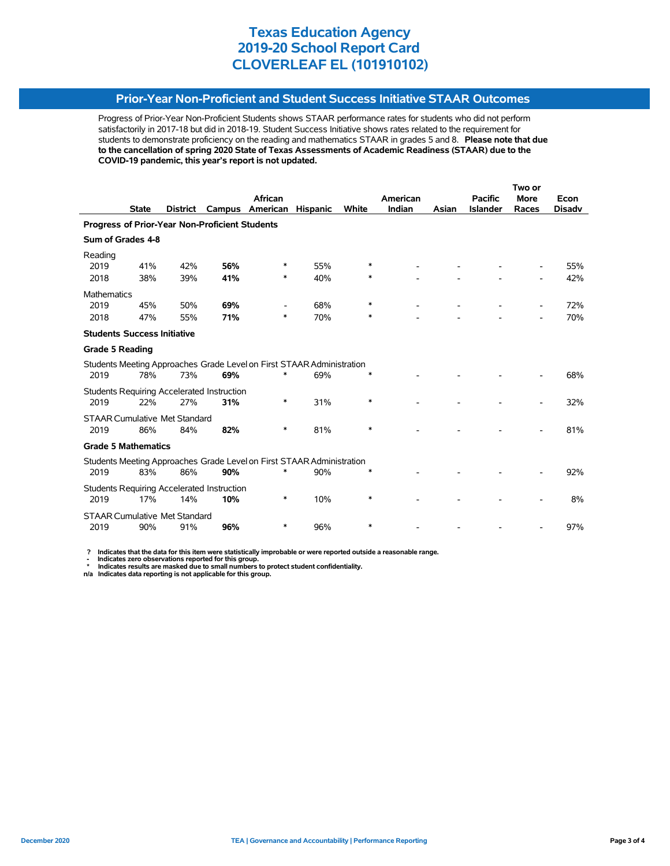## **Prior-Year Non-Proficient and Student Success Initiative STAAR Outcomes**

Progress of Prior-Year Non-Proficient Students shows STAAR performance rates for students who did not perform satisfactorily in 2017-18 but did in 2018-19. Student Success Initiative shows rates related to the requirement for students to demonstrate proficiency on the reading and mathematics STAAR in grades 5 and 8. **Please note that due to the cancellation of spring 2020 State of Texas Assessments of Academic Readiness (STAAR) due to the COVID-19 pandemic, this year's report is not updated.**

|                                                |          |                                                                  |                                                                              |                                                                                                           |                             | Two or                                                                                                                                                  |        |                 |             |               |
|------------------------------------------------|----------|------------------------------------------------------------------|------------------------------------------------------------------------------|-----------------------------------------------------------------------------------------------------------|-----------------------------|---------------------------------------------------------------------------------------------------------------------------------------------------------|--------|-----------------|-------------|---------------|
|                                                |          |                                                                  | African                                                                      |                                                                                                           |                             | American                                                                                                                                                |        | <b>Pacific</b>  | <b>More</b> | Econ          |
| <b>State</b>                                   | District |                                                                  |                                                                              |                                                                                                           |                             |                                                                                                                                                         | Asian  | <b>Islander</b> | Races       | <b>Disady</b> |
| Progress of Prior-Year Non-Proficient Students |          |                                                                  |                                                                              |                                                                                                           |                             |                                                                                                                                                         |        |                 |             |               |
| Sum of Grades 4-8                              |          |                                                                  |                                                                              |                                                                                                           |                             |                                                                                                                                                         |        |                 |             |               |
|                                                |          |                                                                  |                                                                              |                                                                                                           |                             |                                                                                                                                                         |        |                 |             |               |
| 41%                                            | 42%      | 56%                                                              | ∗                                                                            | 55%                                                                                                       | ∗                           |                                                                                                                                                         |        |                 |             | 55%           |
| 38%                                            | 39%      | 41%                                                              | *                                                                            | 40%                                                                                                       | *                           |                                                                                                                                                         |        |                 |             | 42%           |
| Mathematics                                    |          |                                                                  |                                                                              |                                                                                                           |                             |                                                                                                                                                         |        |                 |             |               |
| 45%                                            | 50%      | 69%                                                              |                                                                              | 68%                                                                                                       | $\ast$                      |                                                                                                                                                         |        |                 |             | 72%           |
| 47%                                            | 55%      | 71%                                                              | $\ast$                                                                       | 70%                                                                                                       | ∗                           |                                                                                                                                                         |        |                 |             | 70%           |
|                                                |          |                                                                  |                                                                              |                                                                                                           |                             |                                                                                                                                                         |        |                 |             |               |
| <b>Grade 5 Reading</b>                         |          |                                                                  |                                                                              |                                                                                                           |                             |                                                                                                                                                         |        |                 |             |               |
|                                                |          |                                                                  |                                                                              |                                                                                                           |                             |                                                                                                                                                         |        |                 |             |               |
| 78%                                            | 73%      | 69%                                                              | $\ast$                                                                       | 69%                                                                                                       | ∗                           |                                                                                                                                                         |        |                 |             | 68%           |
|                                                |          |                                                                  |                                                                              |                                                                                                           |                             |                                                                                                                                                         |        |                 |             |               |
| 22%                                            | 27%      | 31%                                                              | *                                                                            | 31%                                                                                                       | $\ast$                      |                                                                                                                                                         |        |                 |             | 32%           |
|                                                |          |                                                                  |                                                                              |                                                                                                           |                             |                                                                                                                                                         |        |                 |             |               |
| 86%                                            | 84%      | 82%                                                              | *                                                                            | 81%                                                                                                       | ∗                           |                                                                                                                                                         |        |                 |             | 81%           |
|                                                |          |                                                                  |                                                                              |                                                                                                           |                             |                                                                                                                                                         |        |                 |             |               |
|                                                |          |                                                                  |                                                                              |                                                                                                           |                             |                                                                                                                                                         |        |                 |             |               |
| 83%                                            | 86%      | 90%                                                              |                                                                              | 90%                                                                                                       | *                           |                                                                                                                                                         |        |                 |             | 92%           |
|                                                |          |                                                                  |                                                                              |                                                                                                           |                             |                                                                                                                                                         |        |                 |             |               |
| 17%                                            | 14%      | 10%                                                              | *                                                                            | 10%                                                                                                       | *                           |                                                                                                                                                         |        |                 |             | 8%            |
|                                                |          |                                                                  |                                                                              |                                                                                                           |                             |                                                                                                                                                         |        |                 |             |               |
| 90%                                            | 91%      | 96%                                                              | *                                                                            | 96%                                                                                                       | *                           |                                                                                                                                                         |        |                 |             | 97%           |
|                                                |          | <b>Students Success Initiative</b><br><b>Grade 5 Mathematics</b> | <b>STAAR Cumulative Met Standard</b><br><b>STAAR Cumulative Met Standard</b> | Campus<br>Students Requiring Accelerated Instruction<br><b>Students Requiring Accelerated Instruction</b> | American<br><b>Hispanic</b> | White<br>Students Meeting Approaches Grade Level on First STAAR Administration<br>Students Meeting Approaches Grade Level on First STAAR Administration | Indian |                 |             |               |

 **? Indicates that the data for this item were statistically improbable or were reported outside a reasonable range.**

 **- Indicates zero observations reported for this group. \* Indicates results are masked due to small numbers to protect student confidentiality.**

**n/a Indicates data reporting is not applicable for this group.**